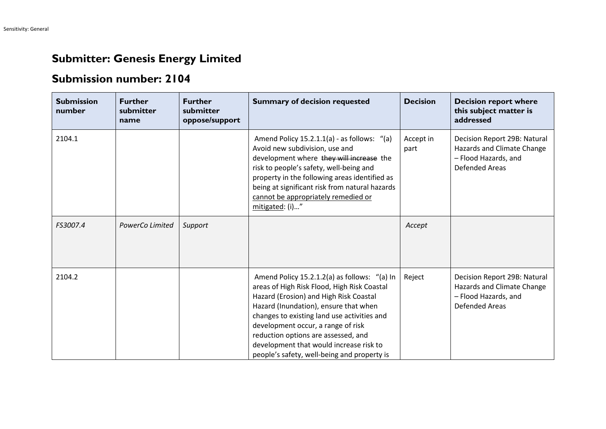## **Submitter: Genesis Energy Limited**

## **Submission number: 2104**

| <b>Submission</b><br>number | <b>Further</b><br>submitter<br>name | <b>Further</b><br>submitter<br>oppose/support | <b>Summary of decision requested</b>                                                                                                                                                                                                                                                                                                                                                                 | <b>Decision</b>   | <b>Decision report where</b><br>this subject matter is<br>addressed                                         |
|-----------------------------|-------------------------------------|-----------------------------------------------|------------------------------------------------------------------------------------------------------------------------------------------------------------------------------------------------------------------------------------------------------------------------------------------------------------------------------------------------------------------------------------------------------|-------------------|-------------------------------------------------------------------------------------------------------------|
| 2104.1                      |                                     |                                               | Amend Policy 15.2.1.1(a) - as follows: "(a)<br>Avoid new subdivision, use and<br>development where they will increase the<br>risk to people's safety, well-being and<br>property in the following areas identified as<br>being at significant risk from natural hazards<br>cannot be appropriately remedied or<br>mitigated: (i)"                                                                    | Accept in<br>part | Decision Report 29B: Natural<br>Hazards and Climate Change<br>- Flood Hazards, and<br><b>Defended Areas</b> |
| FS3007.4                    | PowerCo Limited                     | Support                                       |                                                                                                                                                                                                                                                                                                                                                                                                      | Accept            |                                                                                                             |
| 2104.2                      |                                     |                                               | Amend Policy 15.2.1.2(a) as follows: "(a) In<br>areas of High Risk Flood, High Risk Coastal<br>Hazard (Erosion) and High Risk Coastal<br>Hazard (Inundation), ensure that when<br>changes to existing land use activities and<br>development occur, a range of risk<br>reduction options are assessed, and<br>development that would increase risk to<br>people's safety, well-being and property is | Reject            | Decision Report 29B: Natural<br>Hazards and Climate Change<br>- Flood Hazards, and<br><b>Defended Areas</b> |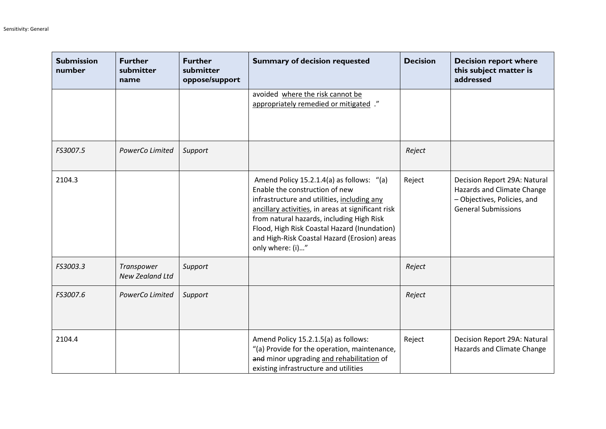| <b>Submission</b><br>number | <b>Further</b><br>submitter<br>name | <b>Further</b><br>submitter<br>oppose/support | <b>Summary of decision requested</b>                                                                                                                                                                                                                                                                                                              | <b>Decision</b> | <b>Decision report where</b><br>this subject matter is<br>addressed                                                     |
|-----------------------------|-------------------------------------|-----------------------------------------------|---------------------------------------------------------------------------------------------------------------------------------------------------------------------------------------------------------------------------------------------------------------------------------------------------------------------------------------------------|-----------------|-------------------------------------------------------------------------------------------------------------------------|
|                             |                                     |                                               | avoided where the risk cannot be<br>appropriately remedied or mitigated ."                                                                                                                                                                                                                                                                        |                 |                                                                                                                         |
| FS3007.5                    | PowerCo Limited                     | Support                                       |                                                                                                                                                                                                                                                                                                                                                   | Reject          |                                                                                                                         |
| 2104.3                      |                                     |                                               | Amend Policy 15.2.1.4(a) as follows: "(a)<br>Enable the construction of new<br>infrastructure and utilities, including any<br>ancillary activities, in areas at significant risk<br>from natural hazards, including High Risk<br>Flood, High Risk Coastal Hazard (Inundation)<br>and High-Risk Coastal Hazard (Erosion) areas<br>only where: (i)" | Reject          | Decision Report 29A: Natural<br>Hazards and Climate Change<br>- Objectives, Policies, and<br><b>General Submissions</b> |
| FS3003.3                    | Transpower<br>New Zealand Ltd       | Support                                       |                                                                                                                                                                                                                                                                                                                                                   | Reject          |                                                                                                                         |
| FS3007.6                    | PowerCo Limited                     | Support                                       |                                                                                                                                                                                                                                                                                                                                                   | Reject          |                                                                                                                         |
| 2104.4                      |                                     |                                               | Amend Policy 15.2.1.5(a) as follows:<br>"(a) Provide for the operation, maintenance,<br>and minor upgrading and rehabilitation of<br>existing infrastructure and utilities                                                                                                                                                                        | Reject          | Decision Report 29A: Natural<br>Hazards and Climate Change                                                              |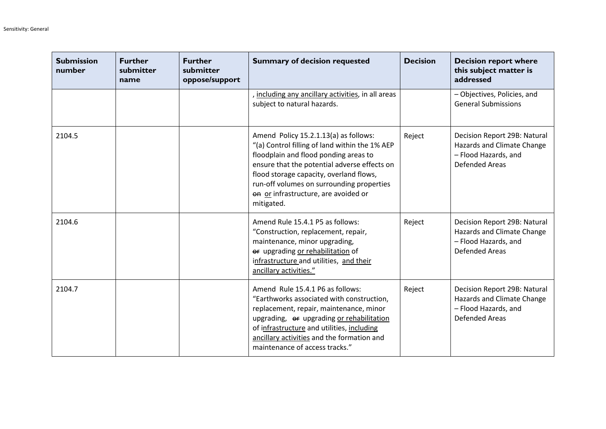| <b>Submission</b><br>number | <b>Further</b><br>submitter<br>name | <b>Further</b><br>submitter<br>oppose/support | <b>Summary of decision requested</b>                                                                                                                                                                                                                                                                                           | <b>Decision</b> | <b>Decision report where</b><br>this subject matter is<br>addressed                                         |
|-----------------------------|-------------------------------------|-----------------------------------------------|--------------------------------------------------------------------------------------------------------------------------------------------------------------------------------------------------------------------------------------------------------------------------------------------------------------------------------|-----------------|-------------------------------------------------------------------------------------------------------------|
|                             |                                     |                                               | including any ancillary activities, in all areas<br>subject to natural hazards.                                                                                                                                                                                                                                                |                 | - Objectives, Policies, and<br><b>General Submissions</b>                                                   |
| 2104.5                      |                                     |                                               | Amend Policy 15.2.1.13(a) as follows:<br>"(a) Control filling of land within the 1% AEP<br>floodplain and flood ponding areas to<br>ensure that the potential adverse effects on<br>flood storage capacity, overland flows,<br>run-off volumes on surrounding properties<br>on or infrastructure, are avoided or<br>mitigated. | Reject          | Decision Report 29B: Natural<br>Hazards and Climate Change<br>- Flood Hazards, and<br><b>Defended Areas</b> |
| 2104.6                      |                                     |                                               | Amend Rule 15.4.1 P5 as follows:<br>"Construction, replacement, repair,<br>maintenance, minor upgrading,<br>er upgrading or rehabilitation of<br>infrastructure and utilities, and their<br>ancillary activities."                                                                                                             | Reject          | Decision Report 29B: Natural<br>Hazards and Climate Change<br>- Flood Hazards, and<br><b>Defended Areas</b> |
| 2104.7                      |                                     |                                               | Amend Rule 15.4.1 P6 as follows:<br>"Earthworks associated with construction,<br>replacement, repair, maintenance, minor<br>upgrading, or upgrading or rehabilitation<br>of infrastructure and utilities, including<br>ancillary activities and the formation and<br>maintenance of access tracks."                            | Reject          | Decision Report 29B: Natural<br>Hazards and Climate Change<br>- Flood Hazards, and<br><b>Defended Areas</b> |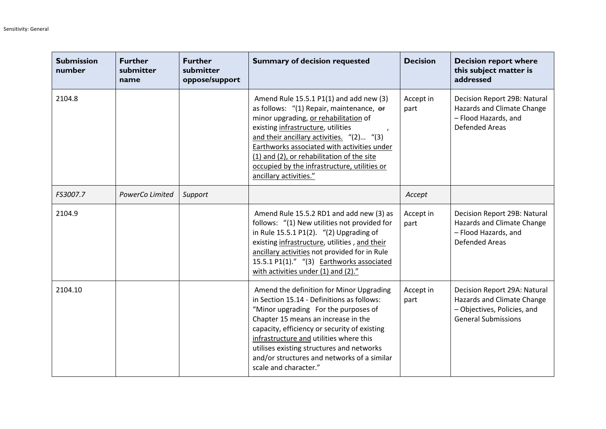| <b>Submission</b><br>number | <b>Further</b><br>submitter<br>name | <b>Further</b><br>submitter<br>oppose/support | <b>Summary of decision requested</b>                                                                                                                                                                                                                                                                                                                                                   | <b>Decision</b>   | <b>Decision report where</b><br>this subject matter is<br>addressed                                                     |
|-----------------------------|-------------------------------------|-----------------------------------------------|----------------------------------------------------------------------------------------------------------------------------------------------------------------------------------------------------------------------------------------------------------------------------------------------------------------------------------------------------------------------------------------|-------------------|-------------------------------------------------------------------------------------------------------------------------|
| 2104.8                      |                                     |                                               | Amend Rule 15.5.1 P1(1) and add new (3)<br>as follows: "(1) Repair, maintenance, or<br>minor upgrading, or rehabilitation of<br>existing infrastructure, utilities<br>and their ancillary activities. "(2) "(3)<br>Earthworks associated with activities under<br>(1) and (2), or rehabilitation of the site<br>occupied by the infrastructure, utilities or<br>ancillary activities." | Accept in<br>part | Decision Report 29B: Natural<br>Hazards and Climate Change<br>- Flood Hazards, and<br><b>Defended Areas</b>             |
| FS3007.7                    | PowerCo Limited                     | Support                                       |                                                                                                                                                                                                                                                                                                                                                                                        | Accept            |                                                                                                                         |
| 2104.9                      |                                     |                                               | Amend Rule 15.5.2 RD1 and add new (3) as<br>follows: "(1) New utilities not provided for<br>in Rule 15.5.1 P1(2). "(2) Upgrading of<br>existing infrastructure, utilities, and their<br>ancillary activities not provided for in Rule<br>15.5.1 P1(1)." "(3) Earthworks associated<br>with activities under (1) and (2)."                                                              | Accept in<br>part | Decision Report 29B: Natural<br>Hazards and Climate Change<br>- Flood Hazards, and<br><b>Defended Areas</b>             |
| 2104.10                     |                                     |                                               | Amend the definition for Minor Upgrading<br>in Section 15.14 - Definitions as follows:<br>"Minor upgrading For the purposes of<br>Chapter 15 means an increase in the<br>capacity, efficiency or security of existing<br>infrastructure and utilities where this<br>utilises existing structures and networks<br>and/or structures and networks of a similar<br>scale and character."  | Accept in<br>part | Decision Report 29A: Natural<br>Hazards and Climate Change<br>- Objectives, Policies, and<br><b>General Submissions</b> |